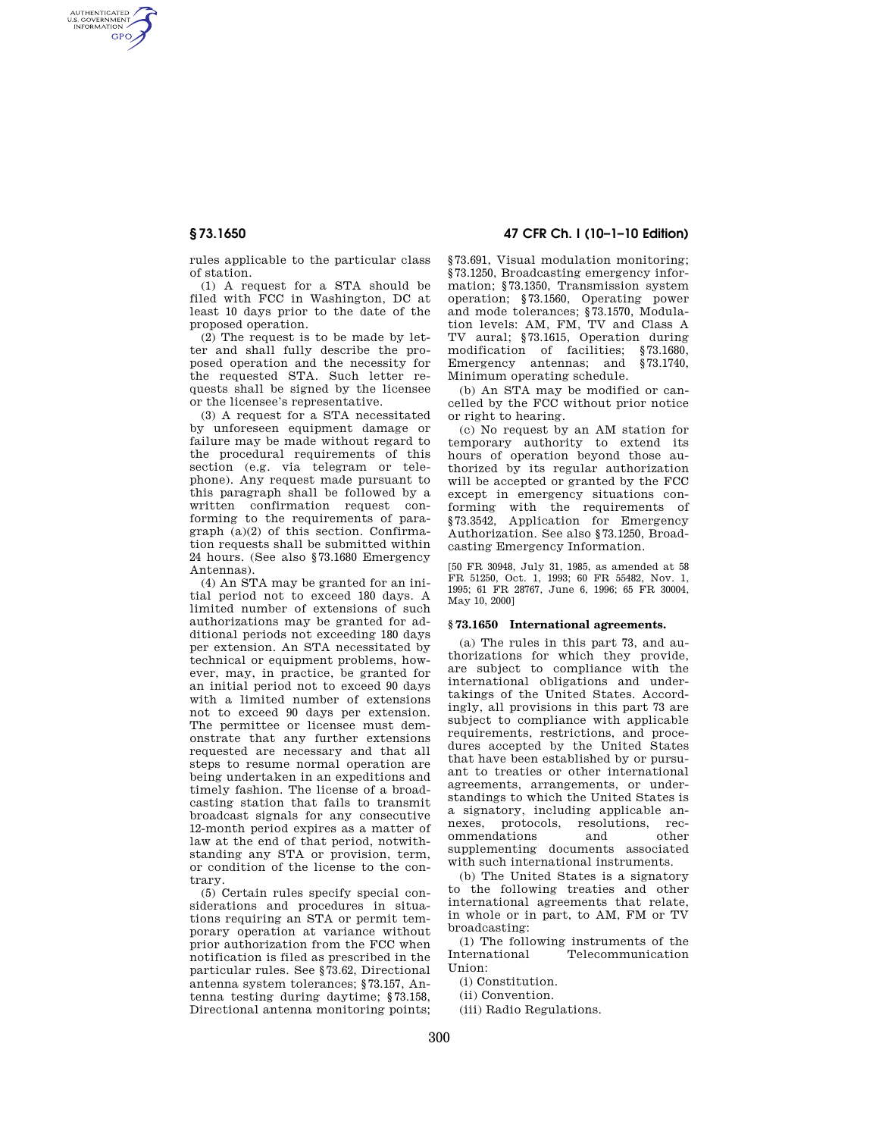AUTHENTICATED<br>U.S. GOVERNMENT<br>INFORMATION **GPO** 

**§ 73.1650 47 CFR Ch. I (10–1–10 Edition)** 

rules applicable to the particular class of station.

(1) A request for a STA should be filed with FCC in Washington, DC at least 10 days prior to the date of the proposed operation.

(2) The request is to be made by letter and shall fully describe the proposed operation and the necessity for the requested STA. Such letter requests shall be signed by the licensee or the licensee's representative.

(3) A request for a STA necessitated by unforeseen equipment damage or failure may be made without regard to the procedural requirements of this section (e.g. via telegram or telephone). Any request made pursuant to this paragraph shall be followed by a written confirmation request conforming to the requirements of paragraph (a)(2) of this section. Confirmation requests shall be submitted within 24 hours. (See also §73.1680 Emergency Antennas).

(4) An STA may be granted for an initial period not to exceed 180 days. A limited number of extensions of such authorizations may be granted for additional periods not exceeding 180 days per extension. An STA necessitated by technical or equipment problems, however, may, in practice, be granted for an initial period not to exceed 90 days with a limited number of extensions not to exceed 90 days per extension. The permittee or licensee must demonstrate that any further extensions requested are necessary and that all steps to resume normal operation are being undertaken in an expeditions and timely fashion. The license of a broadcasting station that fails to transmit broadcast signals for any consecutive 12-month period expires as a matter of law at the end of that period, notwithstanding any STA or provision, term, or condition of the license to the contrary.

(5) Certain rules specify special considerations and procedures in situations requiring an STA or permit temporary operation at variance without prior authorization from the FCC when notification is filed as prescribed in the particular rules. See §73.62, Directional antenna system tolerances; §73.157, Antenna testing during daytime; §73.158, Directional antenna monitoring points;

§73.691, Visual modulation monitoring; §73.1250, Broadcasting emergency information; §73.1350, Transmission system operation; §73.1560, Operating power and mode tolerances; §73.1570, Modulation levels: AM, FM, TV and Class A TV aural; §73.1615, Operation during modification of facilities; §73.1680,<br>Emergency antennas; and §73.1740, Emergency antennas; and Minimum operating schedule.

(b) An STA may be modified or cancelled by the FCC without prior notice or right to hearing.

(c) No request by an AM station for temporary authority to extend its hours of operation beyond those authorized by its regular authorization will be accepted or granted by the FCC except in emergency situations conforming with the requirements of §73.3542, Application for Emergency Authorization. See also §73.1250, Broadcasting Emergency Information.

[50 FR 30948, July 31, 1985, as amended at 58 FR 51250, Oct. 1, 1993; 60 FR 55482, Nov. 1, 1995; 61 FR 28767, June 6, 1996; 65 FR 30004, May 10, 2000]

# **§ 73.1650 International agreements.**

(a) The rules in this part 73, and authorizations for which they provide, are subject to compliance with the international obligations and undertakings of the United States. Accordingly, all provisions in this part 73 are subject to compliance with applicable requirements, restrictions, and procedures accepted by the United States that have been established by or pursuant to treaties or other international agreements, arrangements, or understandings to which the United States is a signatory, including applicable annexes, protocols, resolutions, recommendations and other supplementing documents associated with such international instruments.

(b) The United States is a signatory to the following treaties and other international agreements that relate, in whole or in part, to AM, FM or TV broadcasting:

(1) The following instruments of the International Telecommunication Union:

(i) Constitution.

(ii) Convention.

(iii) Radio Regulations.